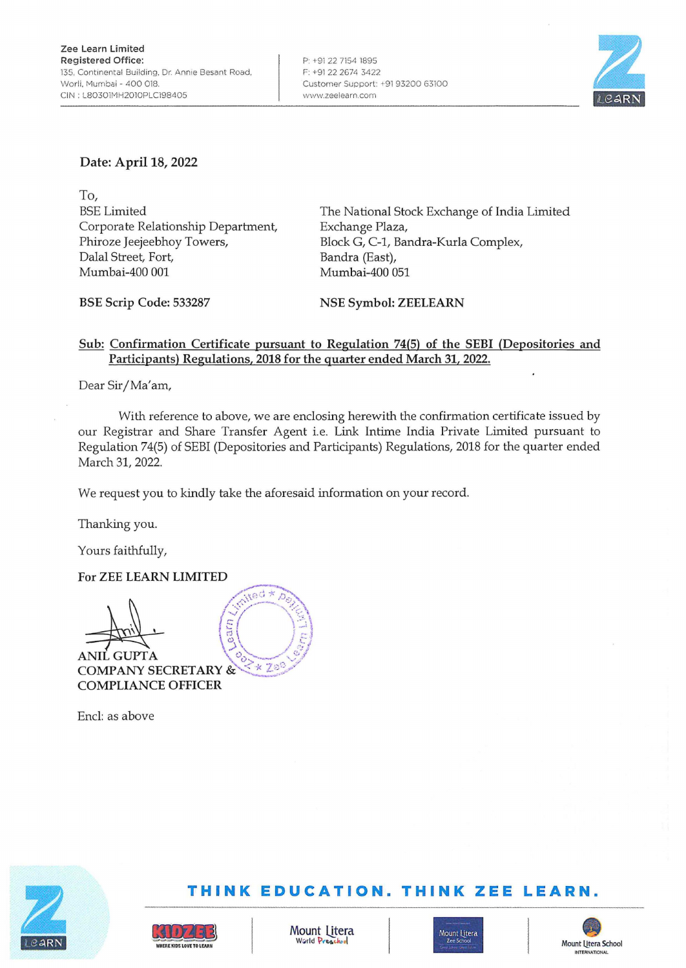

# **Date: April 18, 2022**

To, BSE Limited Corporate Relationship Department, Phiroze Jeejeebhoy Towers, Dalal Street, Fort, Mumbai-400 001

The National Stock Exchange of India Limited Exchange Plaza, Block G, C-1, Bandra-Kurla Complex, Bandra (East), Mumbai-400 051

**BSE Scrip Code: 533287** 

**NSE Symbol: ZEELEARN** 

## **Sub: Confirmation Certificate pursuant to Regulation 74(5) of the SEBI (Depositories and Participants) Regulations, 2018 for the quarter ended March 31, 2022.**

Dear Sir/Ma'am,

With reference to above, we are enclosing herewith the confirmation certificate issued by our Registrar and Share Transfer Agent *i.e.* Link Intime India Private Limited pursuant to Regulation 74(5) of SEBI (Depositories and Participants) Regulations, 2018 for the quarter ended March 31, 2022.

We request you to kindly take the aforesaid information on your record.

Thanking you.

Yours faithfully,

#### **For ZEE LEARN LIMITED**



~ **ANIL GUPTA**<br>COMPANY SECRETARY & \*\* 20 **COMPANY SECRETARY** & *... ·-: ...* !:.J!f.// **COMPLIANCE OFFICER** 

Encl: as above





# **THINK EDUCATION. TH INK ZEE LEARN.**